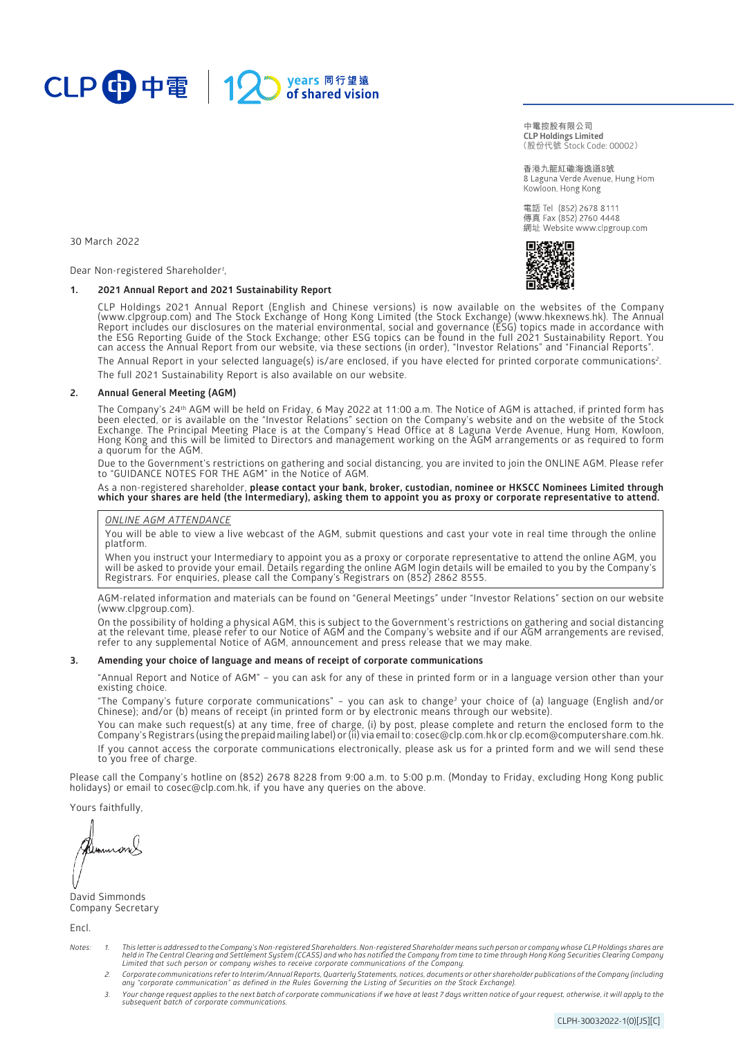

(股份代號 Stock Code: 00002) **中電控股有限公司 CLP Holdings Limited**

香港九龍紅磡海逸道8號 8 Laguna Verde Avenue, Hung Hom Kowloon, Hong Kong

電話 Tel (852) 2678 8111 傳真 Fax (852) 2760 4448 網址 Website www.clpgroup.com



30 March 2022

Dear Non-registered Shareholder*<sup>1</sup>* ,

# **1. 2021 Annual Report and 2021 Sustainability Report**

CLP Holdings 2021 Annual Report (English and Chinese versions) is now available on the websites of the Company [\(www.clpgroup.com\)](https://www.clpgroup.com/en/index.html) and The Stock Exchange of Hong Kong Limited (the Stock Exchange) [\(www.hkexnews.hk\)](https://www.hkexnews.hk/). The Annual Report includes our disclosures on the material environmental, social and governance (ESG) topics made in accordance with the ESG Reporting Guide of the Stock Exchange; other ESG topics can be found in the full 2021 Sustainability Report. You can access the Annual Report from our website, via these sections (in order), "Investor Relations" and "Financial Reports".

The Annual Report in your selected language(s) is/are enclosed, if you have elected for printed corporate communications*<sup>2</sup>* . The full 2021 Sustainability Report is also available on our website.

#### **2. Annual General Meeting (AGM)**

The Company's 24th AGM will be held on Friday, 6 May 2022 at 11:00 a.m. The Notice of AGM is attached, if printed form has been elected, or is available on the "Investor Relations" section on the Company's website and on the website of the Stock Exchange. The Principal Meeting Place is at the Company's Head Office at 8 Laguna Verde Avenue, Hung Hom, Kowloon, Hong Kong and this will be limited to Directors and management working on the AGM arrangements or as required to form a quorum for the AGM.

Due to the Government's restrictions on gathering and social distancing, you are invited to join the ONLINE AGM. Please refer to "GUIDANCE NOTES FOR THE AGM" in the Notice of AGM.

#### As a non-registered shareholder, **please contact your bank, broker, custodian, nominee or HKSCC Nominees Limited through which your shares are held (the Intermediary), asking them to appoint you as proxy or corporate representative to attend.**

#### *ONLINE AGM ATTENDANCE*

You will be able to view a live webcast of the AGM, submit questions and cast your vote in real time through the online platform.

When you instruct your Intermediary to appoint you as a proxy or corporate representative to attend the online AGM, you will be asked to provide your email. Details regarding the online AGM login details will be emailed to you by the Company's Registrars. For enquiries, please call the Company's Registrars on (852) 2862 8555.

AGM-related information and materials can be found on "General Meetings" under "Investor Relations" section on our website [\(www.clpgroup.com](https://www.clpgroup.com/en/index.html)).

On the possibility of holding a physical AGM, this is subject to the Government's restrictions on gathering and social distancing at the relevant time, please refer to our Notice of AGM and the Company's website and if our AGM arrangements are revised, refer to any supplemental Notice of AGM, announcement and press release that we may make.

### **3. Amending your choice of language and means of receipt of corporate communications**

"Annual Report and Notice of AGM" – you can ask for any of these in printed form or in a language version other than your existing choice.

"The Company's future corporate communications" – you can ask to change*<sup>3</sup>* your choice of (a) language (English and/or Chinese); and/or (b) means of receipt (in printed form or by electronic means through our website).

You can make such request(s) at any time, free of charge, (i) by post, please complete and return the enclosed form to the Company's Registrars (using the prepaid mailing label) or (ii) via email to: [cosec@clp.com.hk o](mailto:cosec@clp.com.hk)r [clp.ecom@computershare.com.hk.](mailto:clp.ecom@computershare.com.hk) If you cannot access the corporate communications electronically, please ask us for a printed form and we will send these to you free of charge.

Please call the Company's hotline on (852) 2678 8228 from 9:00 a.m. to 5:00 p.m. (Monday to Friday, excluding Hong Kong public holidays) or email t[o cosec@clp.com.hk,](mailto:cosec@clp.com.hk) if you have any queries on the above.

Yours faithfully,

David Simmonds Company Secretary

Encl.

- Notes: 1. This letter is addressed to the Company's Non-registered Shareholders. Non-registered Shareholder means such person or company whose CLP Holdings shares are<br>held in The Central Clearing and Settlement System (CCA *Limited that such person or company wishes to receive corporate communications of the Company.*
	- 2. Corporate communications refer to Interim/Annual Reports, Quarterly Statements, notices, documents or other shareholder publications of the Company (including<br>any "corporate communication" as defined in the Rules Govern
	- 3. Your change request applies to the next batch of corporate communications if we have at least 7 days written notice of your request, otherwise, it will apply to the<br>subsequent batch of corporate communications.